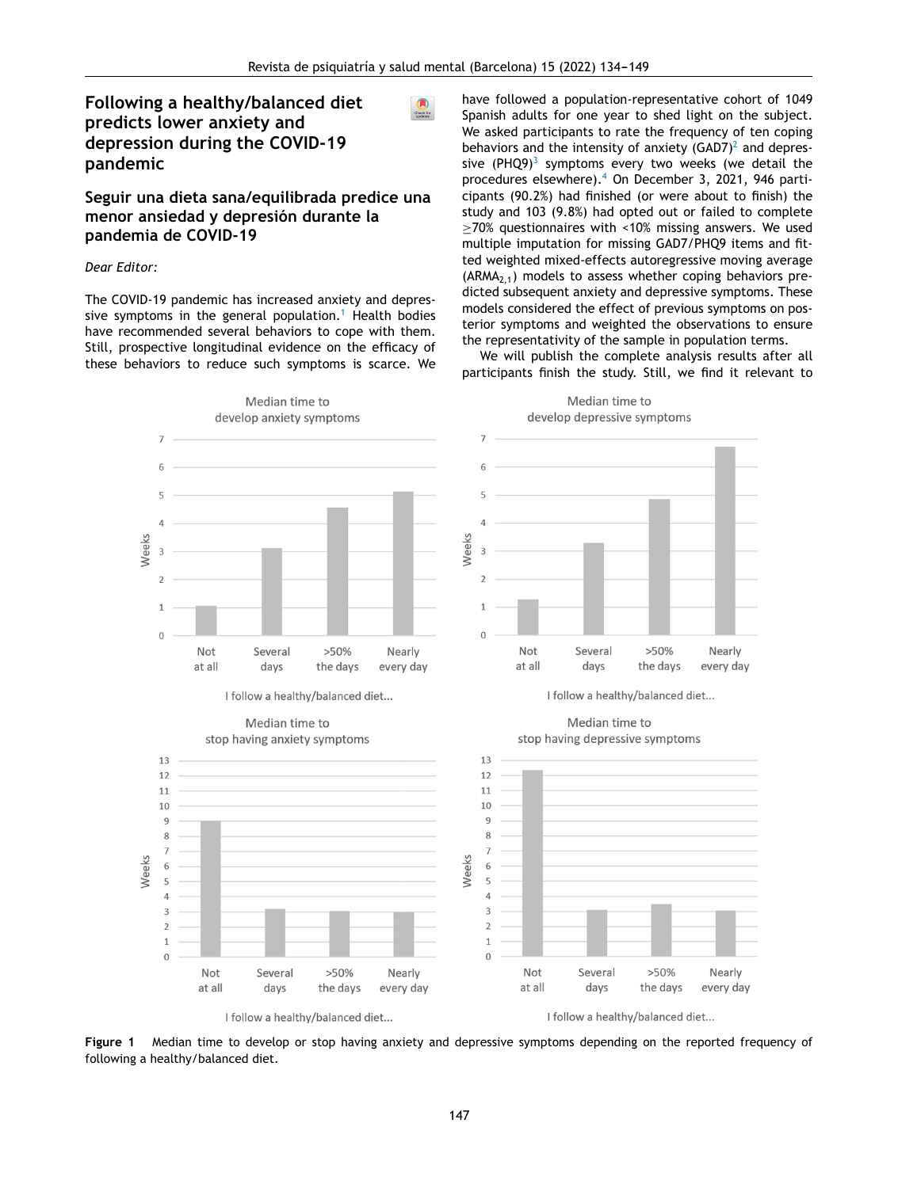# <span id="page-0-0"></span>**Fo[llowing](http://refhub.elsevier.com/S1888-9891(21)00063-X/sbref0210) [a](http://refhub.elsevier.com/S1888-9891(21)00063-X/sbref0210) [he](http://refhub.elsevier.com/S1888-9891(21)00063-X/sbref0210)[al](dx.doi.org/10.1080/10640266.2020.1790271)[th](http://refhub.elsevier.com/S1888-9891(21)00063-X/sbref0210)[y/](dx.doi.org/10.1080/10640266.2020.1790271)[bal](http://refhub.elsevier.com/S1888-9891(21)00063-X/sbref0210)[an](dx.doi.org/10.1080/10640266.2020.1790271)[ce](http://refhub.elsevier.com/S1888-9891(21)00063-X/sbref0210)[d](dx.doi.org/10.1080/10640266.2020.1790271) [diet](http://refhub.elsevier.com/S1888-9891(21)00063-X/sbref0210) pr[edicts](http://refhub.elsevier.com/S1888-9891(21)00063-X/sbref0215) [l](http://refhub.elsevier.com/S1888-9891(21)00063-X/sbref0215)[ower](http://refhub.elsevier.com/S1888-9891(21)00063-X/sbref0210) [anxiet](http://refhub.elsevier.com/S1888-9891(21)00063-X/sbref0215)y [and](http://refhub.elsevier.com/S1888-9891(21)00063-X/sbref0215) de[pression](http://refhub.elsevier.com/S1888-9891(21)00063-X/sbref0215) du[ring](http://refhub.elsevier.com/S1888-9891(21)00063-X/sbref0215) the [COVID-19](http://refhub.elsevier.com/S1888-9891(21)00063-X/sbref0215) pa[ndemic](http://refhub.elsevier.com/S1888-9891(21)00063-X/sbref0215)**

## **Se[guir](http://refhub.elsevier.com/S1888-9891(21)00063-X/sbref0220) [una](http://refhub.elsevier.com/S1888-9891(21)00063-X/sbref0220) [dieta](http://refhub.elsevier.com/S1888-9891(21)00063-X/sbref0220) sa[na/equilibrada](http://refhub.elsevier.com/S1888-9891(21)00063-X/sbref0220) [p](http://refhub.elsevier.com/S1888-9891(21)00063-X/sbref0220)[redice](http://www.elsevier.es/saludmental) [una](http://refhub.elsevier.com/S1888-9891(21)00063-X/sbref0220) menor [ansiedad](http://refhub.elsevier.com/S1888-9891(21)00063-X/sbref0220) y depresión durante la pa[ndemia](http://refhub.elsevier.com/S1888-9891(21)00063-X/sbref0225) [d](http://refhub.elsevier.com/S1888-9891(21)00063-X/sbref0225)e [COVID-19](http://refhub.elsevier.com/S1888-9891(21)00063-X/sbref0225)**

#### *Dear [Editor:](http://refhub.elsevier.com/S1888-9891(21)00063-X/sbref0225)*

The [COVID-19](http://refhub.elsevier.com/S1888-9891(21)00063-X/sbref0230) [pandemic](https://www.boe.es/buscar/doc.php?id=BOE-A-2020-3692) has [increa](http://refhub.elsevier.com/S1888-9891(21)00063-X/sbref0230)sed a[nxiety](http://refhub.elsevier.com/S1888-9891(21)00063-X/sbref0230) and de[pres](http://crossmark.crossref.org/dialog/?doi=10.1016/j.rpsm.2021.12.004&domain=pdf)sive [symptom](http://refhub.elsevier.com/S1888-9891(21)00063-X/sbref0235)s [i](http://refhub.elsevier.com/S1888-9891(21)00063-X/sbref0235)n [the](http://refhub.elsevier.com/S1888-9891(21)00063-X/sbref0235) ge[ner](http://refhub.elsevier.com/S1888-9891(21)00063-X/sbref0235)al [populatio](http://refhub.elsevier.com/S1888-9891(21)00063-X/sbref0235)n.<sup>[1](#page-1-0)</sup> [Healt](http://refhub.elsevier.com/S1888-9891(21)00063-X/sbref0235)h [bodies](http://refhub.elsevier.com/S1888-9891(21)00063-X/sbref0235) hav[e](http://refhub.elsevier.com/S1888-9891(21)00063-X/sbref0240) [recomm](http://refhub.elsevier.com/S1888-9891(21)00063-X/sbref0235)[e](dx.doi.org/10.1038/s41598-020-68862-x)[n](http://refhub.elsevier.com/S1888-9891(21)00063-X/sbref0235)[ded](dx.doi.org/10.1038/s41598-020-68862-x) [s](http://refhub.elsevier.com/S1888-9891(21)00063-X/sbref0235)[evera](http://refhub.elsevier.com/S1888-9891(21)00063-X/sbref0240)[l](http://refhub.elsevier.com/S1888-9891(21)00063-X/sbref0235) [be](http://refhub.elsevier.com/S1888-9891(21)00063-X/sbref0235)[h](http://refhub.elsevier.com/S1888-9891(21)00063-X/sbref0240)[a](http://refhub.elsevier.com/S1888-9891(21)00063-X/sbref0235)[v](http://refhub.elsevier.com/S1888-9891(21)00063-X/sbref0240)[iors](http://refhub.elsevier.com/S1888-9891(21)00063-X/sbref0235) to [co](http://refhub.elsevier.com/S1888-9891(21)00063-X/sbref0240)pe [with](http://refhub.elsevier.com/S1888-9891(21)00063-X/sbref0240) t[he](http://refhub.elsevier.com/S1888-9891(21)00063-X/sbref0240)[m.](http://refhub.elsevier.com/S1888-9891(21)00063-X/sbref0235) Stil[l,](http://refhub.elsevier.com/S1888-9891(21)00063-X/sbref0240) [prosp](http://refhub.elsevier.com/S1888-9891(21)00063-X/sbref0235)[ec](http://refhub.elsevier.com/S1888-9891(21)00063-X/sbref0240)[tive](http://refhub.elsevier.com/S1888-9891(21)00063-X/sbref0235) l[o](http://refhub.elsevier.com/S1888-9891(21)00063-X/sbref0240)[ngitudinal](http://refhub.elsevier.com/S1888-9891(21)00063-X/sbref0235) [ev](http://refhub.elsevier.com/S1888-9891(21)00063-X/sbref0240)[iden](http://refhub.elsevier.com/S1888-9891(21)00063-X/sbref0235)[ce](http://refhub.elsevier.com/S1888-9891(21)00063-X/sbref0240) on the [effi](http://refhub.elsevier.com/S1888-9891(21)00063-X/sbref0235)[c](http://refhub.elsevier.com/S1888-9891(21)00063-X/sbref0240)[acy](http://refhub.elsevier.com/S1888-9891(21)00063-X/sbref0235) [of](http://refhub.elsevier.com/S1888-9891(21)00063-X/sbref0240) the[se](http://refhub.elsevier.com/S1888-9891(21)00063-X/sbref0235) [be](http://refhub.elsevier.com/S1888-9891(21)00063-X/sbref0240)[havi](http://refhub.elsevier.com/S1888-9891(21)00063-X/sbref0235)[o](http://refhub.elsevier.com/S1888-9891(21)00063-X/sbref0240)rs [to](http://refhub.elsevier.com/S1888-9891(21)00063-X/sbref0235) [re](http://refhub.elsevier.com/S1888-9891(21)00063-X/sbref0240)[du](http://refhub.elsevier.com/S1888-9891(21)00063-X/sbref0235)[ce](http://refhub.elsevier.com/S1888-9891(21)00063-X/sbref0240) such [symptom](http://refhub.elsevier.com/S1888-9891(21)00063-X/sbref0235)s [is](http://refhub.elsevier.com/S1888-9891(21)00063-X/sbref0240) [scarce.](http://refhub.elsevier.com/S1888-9891(21)00063-X/sbref0240) W[e](http://refhub.elsevier.com/S1888-9891(21)00063-X/sbref0240) have [followed](http://refhub.elsevier.com/S1888-9891(21)00063-X/sbref0275) a [population-representa](http://refhub.elsevier.com/S1888-9891(21)00063-X/sbref0275)tive [cohort](http://refhub.elsevier.com/S1888-9891(21)00063-X/sbref0275) [of](http://refhub.elsevier.com/S1888-9891(21)00063-X/sbref0275) [1049](http://refhub.elsevier.com/S1888-9891(21)00063-X/sbref0275) Spa[nish](http://refhub.elsevier.com/S1888-9891(21)00063-X/sbref0275) [adults](http://refhub.elsevier.com/S1888-9891(21)00063-X/sbref0275) for one [year](http://refhub.elsevier.com/S1888-9891(21)00063-X/sbref0275) [to](http://refhub.elsevier.com/S1888-9891(21)00063-X/sbref0275) [shed](http://refhub.elsevier.com/S1888-9891(21)00063-X/sbref0275) [light](http://refhub.elsevier.com/S1888-9891(21)00063-X/sbref0275) on [the](http://refhub.elsevier.com/S1888-9891(21)00063-X/sbref0275) su[bject.](http://refhub.elsevier.com/S1888-9891(21)00063-X/sbref0275) We [asked](http://refhub.elsevier.com/S1888-9891(21)00063-X/sbref0275) [participants](dx.doi.org/10.1097/YCT.0000000000000690) to rate the frequency of ten coping be[havio](http://refhub.elsevier.com/S1888-9891(21)00063-X/sbref0280)[r](http://refhub.elsevier.com/S1888-9891(21)00063-X/sbref0065)[s](http://refhub.elsevier.com/S1888-9891(21)00063-X/sbref0280) and [t](http://refhub.elsevier.com/S1888-9891(21)00063-X/sbref0065)[he](http://refhub.elsevier.com/S1888-9891(21)00063-X/sbref0280) [i](http://refhub.elsevier.com/S1888-9891(21)00063-X/sbref0065)[n](http://refhub.elsevier.com/S1888-9891(21)00063-X/sbref0280)[te](http://refhub.elsevier.com/S1888-9891(21)00063-X/sbref0065)[nsi](http://refhub.elsevier.com/S1888-9891(21)00063-X/sbref0280)[ty](http://refhub.elsevier.com/S1888-9891(21)00063-X/sbref0065) [of](http://refhub.elsevier.com/S1888-9891(21)00063-X/sbref0280) [a](http://refhub.elsevier.com/S1888-9891(21)00063-X/sbref0065)[nxiety](http://refhub.elsevier.com/S1888-9891(21)00063-X/sbref0280)  $(GAD7)^2$  $(GAD7)^2$  $(GAD7)^2$  $(GAD7)^2$  $(GAD7)^2$  and [depr](http://refhub.elsevier.com/S1888-9891(21)00063-X/sbref0280)[es-](http://refhub.elsevier.com/S1888-9891(21)00063-X/sbref0065)sive [\(PHQ9\)](http://refhub.elsevier.com/S1888-9891(21)00063-X/sbref0065) $3$  [sympt](http://refhub.elsevier.com/S1888-9891(21)00063-X/sbref0280)[oms](http://refhub.elsevier.com/S1888-9891(21)00063-X/sbref0065) [every](http://refhub.elsevier.com/S1888-9891(21)00063-X/sbref0280) [two](http://refhub.elsevier.com/S1888-9891(21)00063-X/sbref0065) [weeks](http://refhub.elsevier.com/S1888-9891(21)00063-X/sbref0280) (we [det](http://refhub.elsevier.com/S1888-9891(21)00063-X/sbref0280)[a](http://refhub.elsevier.com/S1888-9891(21)00063-X/sbref0065)[il](http://refhub.elsevier.com/S1888-9891(21)00063-X/sbref0280) [the](http://refhub.elsevier.com/S1888-9891(21)00063-X/sbref0280) pro[cedures](http://refhub.elsevier.com/S1888-9891(21)00063-X/sbref0280) [els](http://refhub.elsevier.com/S1888-9891(21)00063-X/sbref0280)[e](http://refhub.elsevier.com/S1888-9891(21)00063-X/sbref0065)[w](http://refhub.elsevier.com/S1888-9891(21)00063-X/sbref0280)[h](http://refhub.elsevier.com/S1888-9891(21)00063-X/sbref0065)[e](dx.doi.org/10.1016/j.healthpol.2019.01.001)[re\).](http://refhub.elsevier.com/S1888-9891(21)00063-X/sbref0280)[4](#page-1-0) [O](http://refhub.elsevier.com/S1888-9891(21)00063-X/sbref0065)n [Dec](http://refhub.elsevier.com/S1888-9891(21)00063-X/sbref0065)[ember](http://refhub.elsevier.com/S1888-9891(21)00063-X/sbref0280) 3, 2[021,](http://refhub.elsevier.com/S1888-9891(21)00063-X/sbref0280) 946 [parti](http://refhub.elsevier.com/S1888-9891(21)00063-X/sbref0280)cip[ant](http://refhub.elsevier.com/S1888-9891(21)00063-X/sbref0285)s [\(90.2%\)](http://refhub.elsevier.com/S1888-9891(21)00063-X/sbref0285) h[ad](http://refhub.elsevier.com/S1888-9891(21)00063-X/sbref0285) [fini](http://refhub.elsevier.com/S1888-9891(21)00063-X/sbref0285)s[he](http://refhub.elsevier.com/S1888-9891(21)00063-X/sbref0285)d (or [we](http://refhub.elsevier.com/S1888-9891(21)00063-X/sbref0285)r[e](http://refhub.elsevier.com/S1888-9891(21)00063-X/sbref0285) [about](http://refhub.elsevier.com/S1888-9891(21)00063-X/sbref0285) to fin[ish\)](http://refhub.elsevier.com/S1888-9891(21)00063-X/sbref0285) the study [and](http://refhub.elsevier.com/S1888-9891(21)00063-X/sbref0285) 103 [\(9](dx.doi.org/10.1521/suli.2007.37.4.409)[.8%\)](http://refhub.elsevier.com/S1888-9891(21)00063-X/sbref0285) had [opte](http://refhub.elsevier.com/S1888-9891(21)00063-X/sbref0285)d [out](http://refhub.elsevier.com/S1888-9891(21)00063-X/sbref0285) or [failed](http://refhub.elsevier.com/S1888-9891(21)00063-X/sbref0285) to [com](http://refhub.elsevier.com/S1888-9891(21)00063-X/sbref0285)[pl](dx.doi.org/10.1016/j.psychres.2020.113057)[et](http://refhub.elsevier.com/S1888-9891(21)00063-X/sbref0285)[e](dx.doi.org/10.1016/j.psychres.2020.113057) ≥70% [quest](http://refhub.elsevier.com/S1888-9891(21)00063-X/sbref0285)[ion](dx.doi.org/10.1016/j.psychres.2020.113057)[naires](http://refhub.elsevier.com/S1888-9891(21)00063-X/sbref0285) w[ith](http://refhub.elsevier.com/S1888-9891(21)00063-X/sbref0285) <[10%](http://refhub.elsevier.com/S1888-9891(21)00063-X/sbref0285) [miss](http://refhub.elsevier.com/S1888-9891(21)00063-X/sbref0285)ing [answers.](http://refhub.elsevier.com/S1888-9891(21)00063-X/sbref0285) We used mu[ltiple](http://refhub.elsevier.com/S1888-9891(21)00063-X/sbref0290) i[mputation](http://refhub.elsevier.com/S1888-9891(21)00063-X/sbref0290) [for](http://refhub.elsevier.com/S1888-9891(21)00063-X/sbref0290) [mi](http://refhub.elsevier.com/S1888-9891(21)00063-X/sbref0290)ssing [GAD7/PHQ](http://refhub.elsevier.com/S1888-9891(21)00063-X/sbref0290)9 [items](http://refhub.elsevier.com/S1888-9891(21)00063-X/sbref0290) [and](http://refhub.elsevier.com/S1888-9891(21)00063-X/sbref0290) fi[t](http://refhub.elsevier.com/S1888-9891(21)00063-X/sbref0290)ted [weighted](http://refhub.elsevier.com/S1888-9891(21)00063-X/sbref0290) mi[xed-effects](http://refhub.elsevier.com/S1888-9891(21)00063-X/sbref0290) aut[oregressive](http://refhub.elsevier.com/S1888-9891(21)00063-X/sbref0290) [moving](http://refhub.elsevier.com/S1888-9891(21)00063-X/sbref0290) [average](http://refhub.elsevier.com/S1888-9891(21)00063-X/sbref0290)  $(ARMA<sub>2.1</sub>)$  $(ARMA<sub>2.1</sub>)$  $(ARMA<sub>2.1</sub>)$  [mode](http://refhub.elsevier.com/S1888-9891(21)00063-X/sbref0290)ls to [assess](http://refhub.elsevier.com/S1888-9891(21)00063-X/sbref0290) [whe](http://refhub.elsevier.com/S1888-9891(21)00063-X/sbref0290)ther coping behaviors predic[te](http://refhub.elsevier.com/S1888-9891(21)00063-X/sbref0295)d [subsequent](http://refhub.elsevier.com/S1888-9891(21)00063-X/sbref0295) an[xiet](http://refhub.elsevier.com/S1888-9891(21)00063-X/sbref0295)y [and](http://refhub.elsevier.com/S1888-9891(21)00063-X/sbref0295) d[epressive](http://refhub.elsevier.com/S1888-9891(21)00063-X/sbref0295) s[ymptoms.](http://refhub.elsevier.com/S1888-9891(21)00063-X/sbref0295) T[hese](http://refhub.elsevier.com/S1888-9891(21)00063-X/sbref0295) mo[dels](http://refhub.elsevier.com/S1888-9891(21)00063-X/sbref0295) [cons](http://refhub.elsevier.com/S1888-9891(21)00063-X/sbref0295)i[dered](http://refhub.elsevier.com/S1888-9891(21)00063-X/sbref0295) the [effect](http://refhub.elsevier.com/S1888-9891(21)00063-X/sbref0295) [of](http://refhub.elsevier.com/S1888-9891(21)00063-X/sbref0295) [previou](http://refhub.elsevier.com/S1888-9891(21)00063-X/sbref0295)s [sym](http://refhub.elsevier.com/S1888-9891(21)00063-X/sbref0295)[pto](mailto:juanantonio.becerra@unir.net)[m](http://refhub.elsevier.com/S1888-9891(21)00063-X/sbref0295)s on [pos](http://refhub.elsevier.com/S1888-9891(21)00063-X/sbref0295)terior [symptoms](http://refhub.elsevier.com/S1888-9891(21)00063-X/sbref0295) and weighted the [observations](dx.doi.org/10.1097/ANA.0000000000000691) to ens[ure](http://refhub.elsevier.com/S1888-9891(21)00063-X/sbref0300) the [repr](http://refhub.elsevier.com/S1888-9891(21)00063-X/sbref0300)[esent](https://doi.org/10.1016/j.rpsm.2022.01.005)[ativity](http://refhub.elsevier.com/S1888-9891(21)00063-X/sbref0300) [of](http://refhub.elsevier.com/S1888-9891(21)00063-X/sbref0300) the sample in [popul](http://refhub.elsevier.com/S1888-9891(21)00063-X/sbref0300)a[tion](http://refhub.elsevier.com/S1888-9891(21)00063-X/sbref0300) [terms.](http://refhub.elsevier.com/S1888-9891(21)00063-X/sbref0300)

[We](http://refhub.elsevier.com/S1888-9891(21)00063-X/sbref0300) [w](http://refhub.elsevier.com/S1888-9891(21)00063-X/sbref0305)[i](http://refhub.elsevier.com/S1888-9891(21)00063-X/sbref0300)[ll](http://refhub.elsevier.com/S1888-9891(21)00063-X/sbref0305) [pu](http://refhub.elsevier.com/S1888-9891(21)00063-X/sbref0300)[bli](http://refhub.elsevier.com/S1888-9891(21)00063-X/sbref0305)[s](http://refhub.elsevier.com/S1888-9891(21)00063-X/sbref0300)[h](http://refhub.elsevier.com/S1888-9891(21)00063-X/sbref0305) [the](http://refhub.elsevier.com/S1888-9891(21)00063-X/sbref0305) [comp](http://refhub.elsevier.com/S1888-9891(21)00063-X/sbref0300)[l](http://refhub.elsevier.com/S1888-9891(21)00063-X/sbref0305)[ete](http://refhub.elsevier.com/S1888-9891(21)00063-X/sbref0300) [analysi](http://refhub.elsevier.com/S1888-9891(21)00063-X/sbref0305)[s](http://refhub.elsevier.com/S1888-9891(21)00063-X/sbref0300) [results](http://refhub.elsevier.com/S1888-9891(21)00063-X/sbref0305) [after](http://refhub.elsevier.com/S1888-9891(21)00063-X/sbref0305) [all](http://refhub.elsevier.com/S1888-9891(21)00063-X/sbref0305) par[ticipants](http://refhub.elsevier.com/S1888-9891(21)00063-X/sbref0305) [finish](http://refhub.elsevier.com/S1888-9891(21)00063-X/sbref0305) the [study.](http://refhub.elsevier.com/S1888-9891(21)00063-X/sbref0305) [Stil](http://refhub.elsevier.com/S1888-9891(21)00063-X/sbref0305)l, [we](http://refhub.elsevier.com/S1888-9891(21)00063-X/sbref0305) fi[nd](http://refhub.elsevier.com/S1888-9891(21)00063-X/sbref0305) it [relevant](http://refhub.elsevier.com/S1888-9891(21)00063-X/sbref0305) to



**Figure 1** Median time to develop or stop having anxiety and depr[essive](http://refhub.elsevier.com/S1888-9891(21)00063-X/sbref0210) [sympto](http://refhub.elsevier.com/S1888-9891(21)00063-X/sbref0205)[ms](http://refhub.elsevier.com/S1888-9891(21)00063-X/sbref0210) [d](http://refhub.elsevier.com/S1888-9891(21)00063-X/sbref0205)[e](http://refhub.elsevier.com/S1888-9891(21)00063-X/sbref0210)[pe](http://refhub.elsevier.com/S1888-9891(21)00063-X/sbref0205)[n](http://refhub.elsevier.com/S1888-9891(21)00063-X/sbref0210)[ding](http://refhub.elsevier.com/S1888-9891(21)00063-X/sbref0205) [on](http://refhub.elsevier.com/S1888-9891(21)00063-X/sbref0205) [the](http://refhub.elsevier.com/S1888-9891(21)00063-X/sbref0210) [reported](http://refhub.elsevier.com/S1888-9891(21)00063-X/sbref0210) freq[ue](http://refhub.elsevier.com/S1888-9891(21)00063-X/sbref0210)n[cy](http://refhub.elsevier.com/S1888-9891(21)00063-X/sbref0210) of following a [healthy/balanced](dx.doi.org/10.1016/S2215-0366(20)30047-X) diet.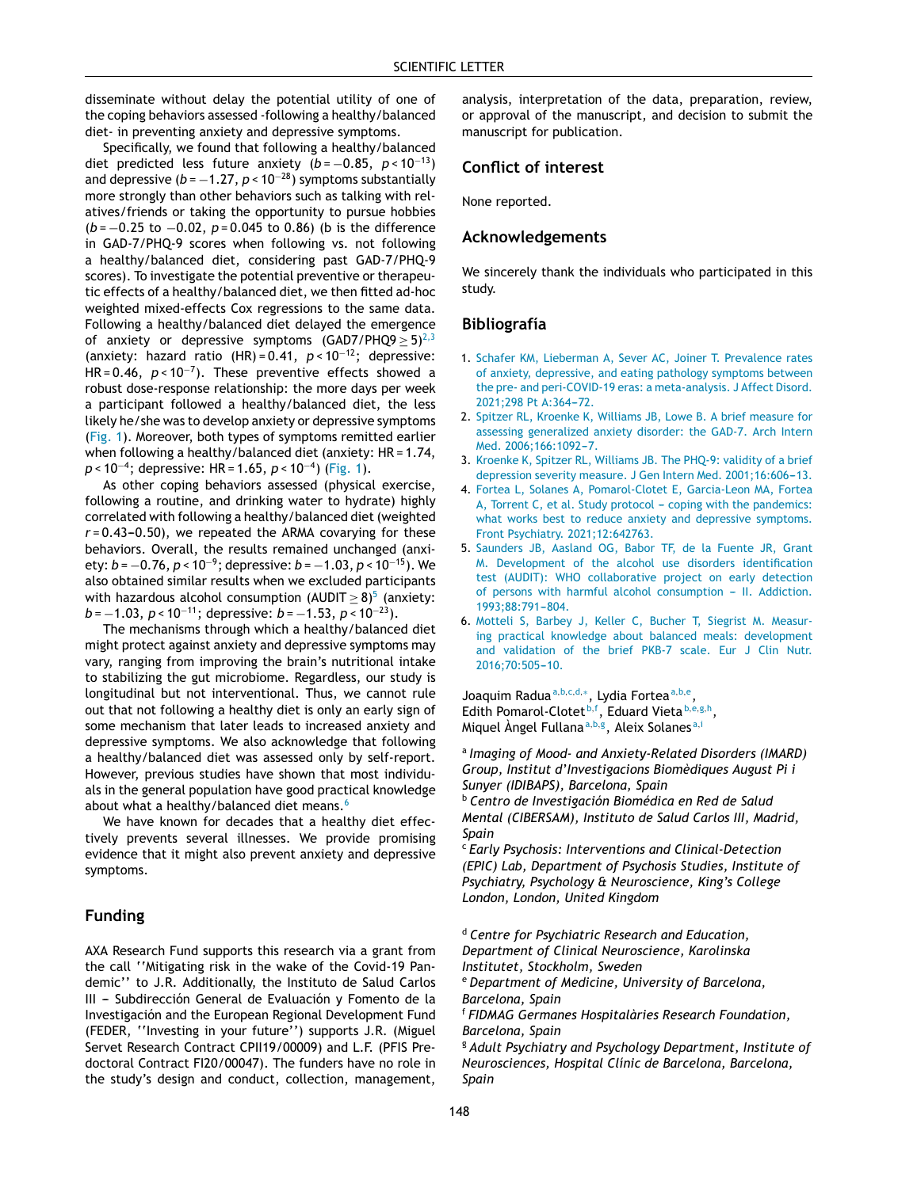<span id="page-1-0"></span>disseminate without delay the potential utility of one of the coping behaviors assessed -following a healthy/balanced diet- in preventing anxiety and depressive symptoms.

Specifically, we found that following a healthy/balanced diet predicted less future anxiety  $(b = -0.85, p < 10^{-13})$ and depressive ( $b = -1.27$ ,  $p < 10^{-28}$ ) symptoms substantially more strongly than other behaviors such as talking with relatives/friends or taking the opportunity to pursue hobbies (*b* = −0.25 to −0.02, *p* = 0.045 to 0.86) (b is the difference in GAD-7/PHQ-9 scores when following vs. not following a healthy/balanced diet, considering past GAD-7/PHQ-9 scores). To investigate the potential preventive or therapeutic effects of a healthy/balanced diet, we then fitted ad-hoc weighted mixed-effects Cox regressions to the same data. Following a healthy/balanced diet delayed the emergence of anxiety or depressive symptoms (GAD7/PHQ9  $\geq$  5)<sup>2,3</sup> (anxiety: hazard ratio (HR) = 0.41, *p* < 10<sup>−</sup><sup>12</sup>; depressive: HR = 0.46, *p* < 10<sup>−</sup><sup>7</sup> ). These preventive effects showed a robust dose-response relationship: the more days per week a participant followed a healthy/balanced diet, the less likely he/she was to develop anxiety or depressive symptoms ([Fig.](#page-0-0) 1). Moreover, both types of symptoms remitted earlier when following a healthy/balanced diet (anxiety: HR = 1.74, *p* < 10<sup>−</sup><sup>4</sup> ; depressive: HR = 1.65, *p* < 10<sup>−</sup><sup>4</sup> ) [\(Fig.](#page-0-0) 1).

As other coping behaviors assessed (physical exercise, following a routine, and drinking water to hydrate) highly correlated with following a healthy/balanced diet (weighted  $r = 0.43 - 0.50$ , we repeated the ARMA covarying for these behaviors. Overall, the results remained unchanged (anxiety: *b* = −0.76, *p* < 10<sup>−</sup><sup>9</sup> ; depressive: *b* = −1.03, *p* < 10<sup>−</sup><sup>15</sup>). We also obtained similar results when we excluded participants with hazardous alcohol consumption (AUDIT $\geq$  8) $^5$  (anxiety: *b* = −1.03, *p* < 10<sup>-11</sup>; depressive: *b* = −1.53, *p* < 10<sup>-23</sup>).

The mechanisms through which a healthy/balanced diet might protect against anxiety and depressive symptoms may vary, ranging from improving the brain's nutritional intake to stabilizing the gut microbiome. Regardless, our study is longitudinal but not interventional. Thus, we cannot rule out that not following a healthy diet is only an early sign of some mechanism that later leads to increased anxiety and depressive symptoms. We also acknowledge that following a healthy/balanced diet was assessed only by self-report. However, previous studies have shown that most individuals in the general population have good practical knowledge about what a healthy/balanced diet means.<sup>6</sup>

We have known for decades that a healthy diet effectively prevents several illnesses. We provide promising evidence that it might also prevent anxiety and depressive symptoms.

#### **Funding**

AXA Research Fund supports this research via a grant from the call ''Mitigating risk in the wake of the Covid-19 Pandemic'' to J.R. Additionally, the Instituto de Salud Carlos III - Subdirección General de Evaluación y Fomento de la Investigación and the European Regional Development Fund (FEDER, ''Investing in your future'') supports J.R. (Miguel Servet Research Contract CPII19/00009) and L.F. (PFIS Predoctoral Contract FI20/00047). The funders have no role in the study's design and conduct, collection, management,

analysis, interpretation of the data, preparation, review, or approval of the manuscript, and decision to submit the manuscript for publication.

### **Conflict of interest**

None reported.

#### **Acknowledgements**

We sincerely thank the individuals who participated in this study.

#### **Bibliografía**

- 1. [Schafer](http://refhub.elsevier.com/S1888-9891(21)00063-X/sbref0035) [KM,](http://refhub.elsevier.com/S1888-9891(21)00063-X/sbref0035) [Lieberman](http://refhub.elsevier.com/S1888-9891(21)00063-X/sbref0035) [A,](http://refhub.elsevier.com/S1888-9891(21)00063-X/sbref0035) [Sever](http://refhub.elsevier.com/S1888-9891(21)00063-X/sbref0035) [AC,](http://refhub.elsevier.com/S1888-9891(21)00063-X/sbref0035) [Joiner](http://refhub.elsevier.com/S1888-9891(21)00063-X/sbref0035) [T.](http://refhub.elsevier.com/S1888-9891(21)00063-X/sbref0035) [Prevalence](http://refhub.elsevier.com/S1888-9891(21)00063-X/sbref0035) [rates](http://refhub.elsevier.com/S1888-9891(21)00063-X/sbref0035) [of](http://refhub.elsevier.com/S1888-9891(21)00063-X/sbref0035) [anxiety,](http://refhub.elsevier.com/S1888-9891(21)00063-X/sbref0035) [depressive,](http://refhub.elsevier.com/S1888-9891(21)00063-X/sbref0035) [and](http://refhub.elsevier.com/S1888-9891(21)00063-X/sbref0035) [eating](http://refhub.elsevier.com/S1888-9891(21)00063-X/sbref0035) [pathology](http://refhub.elsevier.com/S1888-9891(21)00063-X/sbref0035) [symptoms](http://refhub.elsevier.com/S1888-9891(21)00063-X/sbref0035) [between](http://refhub.elsevier.com/S1888-9891(21)00063-X/sbref0035) [the](http://refhub.elsevier.com/S1888-9891(21)00063-X/sbref0035) [pre-](http://refhub.elsevier.com/S1888-9891(21)00063-X/sbref0035) [and](http://refhub.elsevier.com/S1888-9891(21)00063-X/sbref0035) [peri-COVID-19](http://refhub.elsevier.com/S1888-9891(21)00063-X/sbref0035) [eras:](http://refhub.elsevier.com/S1888-9891(21)00063-X/sbref0035) [a](http://refhub.elsevier.com/S1888-9891(21)00063-X/sbref0035) [meta-analysis.](http://refhub.elsevier.com/S1888-9891(21)00063-X/sbref0035) [J](http://refhub.elsevier.com/S1888-9891(21)00063-X/sbref0035) [Affect](http://refhub.elsevier.com/S1888-9891(21)00063-X/sbref0035) [Disord.](http://refhub.elsevier.com/S1888-9891(21)00063-X/sbref0035) [2021;298](http://refhub.elsevier.com/S1888-9891(21)00063-X/sbref0035) [Pt](http://refhub.elsevier.com/S1888-9891(21)00063-X/sbref0035) [A:364-](http://refhub.elsevier.com/S1888-9891(21)00063-X/sbref0035)[72.](http://refhub.elsevier.com/S1888-9891(21)00063-X/sbref0035)
- 2. [Spitzer](http://refhub.elsevier.com/S1888-9891(21)00063-X/sbref0040) [RL,](http://refhub.elsevier.com/S1888-9891(21)00063-X/sbref0040) [Kroenke](http://refhub.elsevier.com/S1888-9891(21)00063-X/sbref0040) [K,](http://refhub.elsevier.com/S1888-9891(21)00063-X/sbref0040) [Williams](http://refhub.elsevier.com/S1888-9891(21)00063-X/sbref0040) [JB,](http://refhub.elsevier.com/S1888-9891(21)00063-X/sbref0040) [Lowe](http://refhub.elsevier.com/S1888-9891(21)00063-X/sbref0040) [B.](http://refhub.elsevier.com/S1888-9891(21)00063-X/sbref0040) [A](http://refhub.elsevier.com/S1888-9891(21)00063-X/sbref0040) [brief](http://refhub.elsevier.com/S1888-9891(21)00063-X/sbref0040) [measure](http://refhub.elsevier.com/S1888-9891(21)00063-X/sbref0040) [for](http://refhub.elsevier.com/S1888-9891(21)00063-X/sbref0040) [assessing](http://refhub.elsevier.com/S1888-9891(21)00063-X/sbref0040) [generalized](http://refhub.elsevier.com/S1888-9891(21)00063-X/sbref0040) [anxiety](http://refhub.elsevier.com/S1888-9891(21)00063-X/sbref0040) [disorder:](http://refhub.elsevier.com/S1888-9891(21)00063-X/sbref0040) [the](http://refhub.elsevier.com/S1888-9891(21)00063-X/sbref0040) [GAD-7.](http://refhub.elsevier.com/S1888-9891(21)00063-X/sbref0040) [Arch](http://refhub.elsevier.com/S1888-9891(21)00063-X/sbref0040) [Intern](http://refhub.elsevier.com/S1888-9891(21)00063-X/sbref0040) [Med.](http://refhub.elsevier.com/S1888-9891(21)00063-X/sbref0040) 2006;166:1092-7.
- 3. [Kroenke](http://refhub.elsevier.com/S1888-9891(21)00063-X/sbref0045) [K,](http://refhub.elsevier.com/S1888-9891(21)00063-X/sbref0045) [Spitzer](http://refhub.elsevier.com/S1888-9891(21)00063-X/sbref0045) [RL,](http://refhub.elsevier.com/S1888-9891(21)00063-X/sbref0045) [Williams](http://refhub.elsevier.com/S1888-9891(21)00063-X/sbref0045) [JB.](http://refhub.elsevier.com/S1888-9891(21)00063-X/sbref0045) [The](http://refhub.elsevier.com/S1888-9891(21)00063-X/sbref0045) [PHQ-9:](http://refhub.elsevier.com/S1888-9891(21)00063-X/sbref0045) [validity](http://refhub.elsevier.com/S1888-9891(21)00063-X/sbref0045) [of](http://refhub.elsevier.com/S1888-9891(21)00063-X/sbref0045) [a](http://refhub.elsevier.com/S1888-9891(21)00063-X/sbref0045) [brief](http://refhub.elsevier.com/S1888-9891(21)00063-X/sbref0045) [depression](http://refhub.elsevier.com/S1888-9891(21)00063-X/sbref0045) [severity](http://refhub.elsevier.com/S1888-9891(21)00063-X/sbref0045) [measure.](http://refhub.elsevier.com/S1888-9891(21)00063-X/sbref0045) [J](http://refhub.elsevier.com/S1888-9891(21)00063-X/sbref0045) [Gen](http://refhub.elsevier.com/S1888-9891(21)00063-X/sbref0045) [Intern](http://refhub.elsevier.com/S1888-9891(21)00063-X/sbref0045) [Med.](http://refhub.elsevier.com/S1888-9891(21)00063-X/sbref0045) 2001;16:606-13.
- 4. [Fortea](http://refhub.elsevier.com/S1888-9891(21)00063-X/sbref0050) [L,](http://refhub.elsevier.com/S1888-9891(21)00063-X/sbref0050) [Solanes](http://refhub.elsevier.com/S1888-9891(21)00063-X/sbref0050) [A,](http://refhub.elsevier.com/S1888-9891(21)00063-X/sbref0050) [Pomarol-Clotet](http://refhub.elsevier.com/S1888-9891(21)00063-X/sbref0050) [E,](http://refhub.elsevier.com/S1888-9891(21)00063-X/sbref0050) [Garcia-Leon](http://refhub.elsevier.com/S1888-9891(21)00063-X/sbref0050) [MA,](http://refhub.elsevier.com/S1888-9891(21)00063-X/sbref0050) [Fortea](http://refhub.elsevier.com/S1888-9891(21)00063-X/sbref0050) [A,](http://refhub.elsevier.com/S1888-9891(21)00063-X/sbref0050) [Torrent](http://refhub.elsevier.com/S1888-9891(21)00063-X/sbref0050) [C,](http://refhub.elsevier.com/S1888-9891(21)00063-X/sbref0050) [et](http://refhub.elsevier.com/S1888-9891(21)00063-X/sbref0050) [al.](http://refhub.elsevier.com/S1888-9891(21)00063-X/sbref0050) [Study](http://refhub.elsevier.com/S1888-9891(21)00063-X/sbref0050) [protocol](http://refhub.elsevier.com/S1888-9891(21)00063-X/sbref0050) - [coping](http://refhub.elsevier.com/S1888-9891(21)00063-X/sbref0050) [with](http://refhub.elsevier.com/S1888-9891(21)00063-X/sbref0050) [the](http://refhub.elsevier.com/S1888-9891(21)00063-X/sbref0050) [pandemics:](http://refhub.elsevier.com/S1888-9891(21)00063-X/sbref0050) [what](http://refhub.elsevier.com/S1888-9891(21)00063-X/sbref0050) [works](http://refhub.elsevier.com/S1888-9891(21)00063-X/sbref0050) [best](http://refhub.elsevier.com/S1888-9891(21)00063-X/sbref0050) [to](http://refhub.elsevier.com/S1888-9891(21)00063-X/sbref0050) [reduce](http://refhub.elsevier.com/S1888-9891(21)00063-X/sbref0050) [anxiety](http://refhub.elsevier.com/S1888-9891(21)00063-X/sbref0050) [and](http://refhub.elsevier.com/S1888-9891(21)00063-X/sbref0050) [depressive](http://refhub.elsevier.com/S1888-9891(21)00063-X/sbref0050) [symptoms.](http://refhub.elsevier.com/S1888-9891(21)00063-X/sbref0050) [Front](http://refhub.elsevier.com/S1888-9891(21)00063-X/sbref0050) [Psychiatry.](http://refhub.elsevier.com/S1888-9891(21)00063-X/sbref0050) [2021;12:642763.](http://refhub.elsevier.com/S1888-9891(21)00063-X/sbref0050)
- 5. [Saunders](http://refhub.elsevier.com/S1888-9891(21)00063-X/sbref0055) [JB,](http://refhub.elsevier.com/S1888-9891(21)00063-X/sbref0055) [Aasland](http://refhub.elsevier.com/S1888-9891(21)00063-X/sbref0055) [OG,](http://refhub.elsevier.com/S1888-9891(21)00063-X/sbref0055) [Babor](http://refhub.elsevier.com/S1888-9891(21)00063-X/sbref0055) [TF,](http://refhub.elsevier.com/S1888-9891(21)00063-X/sbref0055) [de](http://refhub.elsevier.com/S1888-9891(21)00063-X/sbref0055) [la](http://refhub.elsevier.com/S1888-9891(21)00063-X/sbref0055) [Fuente](http://refhub.elsevier.com/S1888-9891(21)00063-X/sbref0055) [JR,](http://refhub.elsevier.com/S1888-9891(21)00063-X/sbref0055) [Grant](http://refhub.elsevier.com/S1888-9891(21)00063-X/sbref0055) [M.](http://refhub.elsevier.com/S1888-9891(21)00063-X/sbref0055) [Development](http://refhub.elsevier.com/S1888-9891(21)00063-X/sbref0055) [of](http://refhub.elsevier.com/S1888-9891(21)00063-X/sbref0055) [the](http://refhub.elsevier.com/S1888-9891(21)00063-X/sbref0055) [alcohol](http://refhub.elsevier.com/S1888-9891(21)00063-X/sbref0055) [use](http://refhub.elsevier.com/S1888-9891(21)00063-X/sbref0055) [disorders](http://refhub.elsevier.com/S1888-9891(21)00063-X/sbref0055) [identification](http://refhub.elsevier.com/S1888-9891(21)00063-X/sbref0055) [test](http://refhub.elsevier.com/S1888-9891(21)00063-X/sbref0055) [\(AUDIT\):](http://refhub.elsevier.com/S1888-9891(21)00063-X/sbref0055) [WHO](http://refhub.elsevier.com/S1888-9891(21)00063-X/sbref0055) [collaborative](http://refhub.elsevier.com/S1888-9891(21)00063-X/sbref0055) [project](http://refhub.elsevier.com/S1888-9891(21)00063-X/sbref0055) [on](http://refhub.elsevier.com/S1888-9891(21)00063-X/sbref0055) [early](http://refhub.elsevier.com/S1888-9891(21)00063-X/sbref0055) [detection](http://refhub.elsevier.com/S1888-9891(21)00063-X/sbref0055) [of](http://refhub.elsevier.com/S1888-9891(21)00063-X/sbref0055) [persons](http://refhub.elsevier.com/S1888-9891(21)00063-X/sbref0055) [with](http://refhub.elsevier.com/S1888-9891(21)00063-X/sbref0055) [harmful](http://refhub.elsevier.com/S1888-9891(21)00063-X/sbref0055) [alcohol](http://refhub.elsevier.com/S1888-9891(21)00063-X/sbref0055) [consumption](http://refhub.elsevier.com/S1888-9891(21)00063-X/sbref0055) - [II.](http://refhub.elsevier.com/S1888-9891(21)00063-X/sbref0055) [Addiction.](http://refhub.elsevier.com/S1888-9891(21)00063-X/sbref0055) 1993;88:791-804.
- 6. [Motteli](http://refhub.elsevier.com/S1888-9891(21)00063-X/sbref0060) [S,](http://refhub.elsevier.com/S1888-9891(21)00063-X/sbref0060) [Barbey](http://refhub.elsevier.com/S1888-9891(21)00063-X/sbref0060) [J,](http://refhub.elsevier.com/S1888-9891(21)00063-X/sbref0060) [Keller](http://refhub.elsevier.com/S1888-9891(21)00063-X/sbref0060) [C,](http://refhub.elsevier.com/S1888-9891(21)00063-X/sbref0060) [Bucher](http://refhub.elsevier.com/S1888-9891(21)00063-X/sbref0060) [T,](http://refhub.elsevier.com/S1888-9891(21)00063-X/sbref0060) [Siegrist](http://refhub.elsevier.com/S1888-9891(21)00063-X/sbref0060) [M.](http://refhub.elsevier.com/S1888-9891(21)00063-X/sbref0060) [Measur](http://refhub.elsevier.com/S1888-9891(21)00063-X/sbref0060)[ing](http://refhub.elsevier.com/S1888-9891(21)00063-X/sbref0060) [practical](http://refhub.elsevier.com/S1888-9891(21)00063-X/sbref0060) [knowledge](http://refhub.elsevier.com/S1888-9891(21)00063-X/sbref0060) [about](http://refhub.elsevier.com/S1888-9891(21)00063-X/sbref0060) [balanced](http://refhub.elsevier.com/S1888-9891(21)00063-X/sbref0060) [meals:](http://refhub.elsevier.com/S1888-9891(21)00063-X/sbref0060) [development](http://refhub.elsevier.com/S1888-9891(21)00063-X/sbref0060) [and](http://refhub.elsevier.com/S1888-9891(21)00063-X/sbref0060) [validation](http://refhub.elsevier.com/S1888-9891(21)00063-X/sbref0060) [of](http://refhub.elsevier.com/S1888-9891(21)00063-X/sbref0060) [the](http://refhub.elsevier.com/S1888-9891(21)00063-X/sbref0060) [brief](http://refhub.elsevier.com/S1888-9891(21)00063-X/sbref0060) [PKB-7](http://refhub.elsevier.com/S1888-9891(21)00063-X/sbref0060) [scale.](http://refhub.elsevier.com/S1888-9891(21)00063-X/sbref0060) [Eur](http://refhub.elsevier.com/S1888-9891(21)00063-X/sbref0060) [J](http://refhub.elsevier.com/S1888-9891(21)00063-X/sbref0060) [Clin](http://refhub.elsevier.com/S1888-9891(21)00063-X/sbref0060) [Nutr.](http://refhub.elsevier.com/S1888-9891(21)00063-X/sbref0060) 2016;70:505-10.

Joaquim Radua<sup>a, b, c, d,\*</sup>, [Lyd](#page-2-0)ia Fortea<sup>a, b, e</sup>, Edit[h](#page-2-0) Pomarol-Clotet<sup>b,f</sup>, Eduard Vieta<sup>b,e,g,h</sup>, M[i](#page-2-0)quel Àngel Fullana<sup>a,b,g</sup>, Aleix Solanes<sup>a,i</sup>

a *Imaging of Mood- and Anxiety-Related Disorders (IMARD) Group, Institut d'Investigacions Biomèdiques August Pi i Sunyer (IDIBAPS), Barcelona, Spain*

<sup>b</sup> *Centro de Investigación Biomédica en Red de Salud Mental (CIBERSAM), Instituto de Salud Carlos III, Madrid, Spain*

<sup>c</sup> *Early Psychosis: Interventions and Clinical-Detection (EPIC) Lab, Department of Psychosis Studies, Institute of Psychiatry, Psychology & Neuroscience, King's College London, London, United Kingdom*

<sup>d</sup> *Centre for Psychiatric Research and Education,*

*Department of Clinical Neuroscience, Karolinska Institutet, Stockholm, Sweden*

<sup>e</sup> *Department of Medicine, University of Barcelona, Barcelona, Spain*

<sup>f</sup> *FIDMAG Germanes Hospitalàries Research Foundation, Barcelona, Spain*

<sup>g</sup> *Adult Psychiatry and Psychology Department, Institute of Neurosciences, Hospital Clínic de Barcelona, Barcelona, Spain*